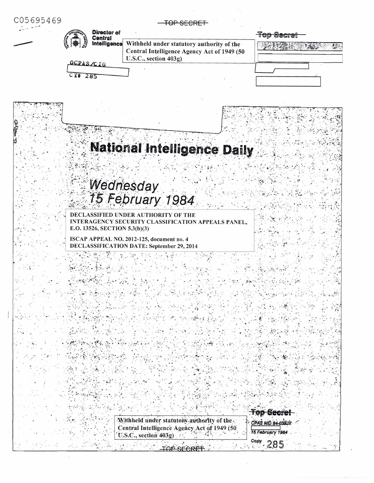| C05695469                                                                                                                         |                                                      |  |  |
|-----------------------------------------------------------------------------------------------------------------------------------|------------------------------------------------------|--|--|
| Director of<br>Central                                                                                                            | <b>Top Secret</b>                                    |  |  |
| Withheld under statutory authority of the<br>Intelligence<br>Central Intelligence Agency Act of 1949 (50<br>U.S.C., section 403g) |                                                      |  |  |
| OCPAS/CIG                                                                                                                         |                                                      |  |  |
| $CY + 285$                                                                                                                        |                                                      |  |  |
|                                                                                                                                   |                                                      |  |  |
|                                                                                                                                   |                                                      |  |  |
|                                                                                                                                   |                                                      |  |  |
| <b>National Intelligence Daily</b>                                                                                                |                                                      |  |  |
|                                                                                                                                   |                                                      |  |  |
|                                                                                                                                   |                                                      |  |  |
| Wednesday<br>15 February 1984                                                                                                     |                                                      |  |  |
| DECLASSIFIED UNDER AUTHORITY OF THE<br>INTERAGENCY SECURITY CLASSIFICATION APPEALS PANEL,<br>E.O. 13526, SECTION 5.3(b)(3)        |                                                      |  |  |
| ISCAP APPEAL NO. 2012-125, document no. 4                                                                                         |                                                      |  |  |
| <b>DECLASSIFICATION DATE: September 29, 2014</b>                                                                                  |                                                      |  |  |
|                                                                                                                                   |                                                      |  |  |
|                                                                                                                                   |                                                      |  |  |
|                                                                                                                                   |                                                      |  |  |
|                                                                                                                                   |                                                      |  |  |
|                                                                                                                                   |                                                      |  |  |
|                                                                                                                                   |                                                      |  |  |
|                                                                                                                                   |                                                      |  |  |
|                                                                                                                                   |                                                      |  |  |
|                                                                                                                                   |                                                      |  |  |
|                                                                                                                                   |                                                      |  |  |
|                                                                                                                                   |                                                      |  |  |
| Withheld under statutory authority of the                                                                                         | <b>Top Secre</b>                                     |  |  |
| Central Intelligence Agency Act of 1949 (50<br>U.S.C., section 403g)                                                              | CPAS NID 84-038JX<br>15 February 1984<br>Copy<br>285 |  |  |

 $\mathbf{x} = \mathbf{x} + \mathbf{y}$  . The contract of the contract of the contract of the contract of the contract of the contract of the contract of the contract of the contract of the contract of the contract of the contract of the co

 $\label{eq:1.1} \tilde{y}=-\tilde{y}^2$